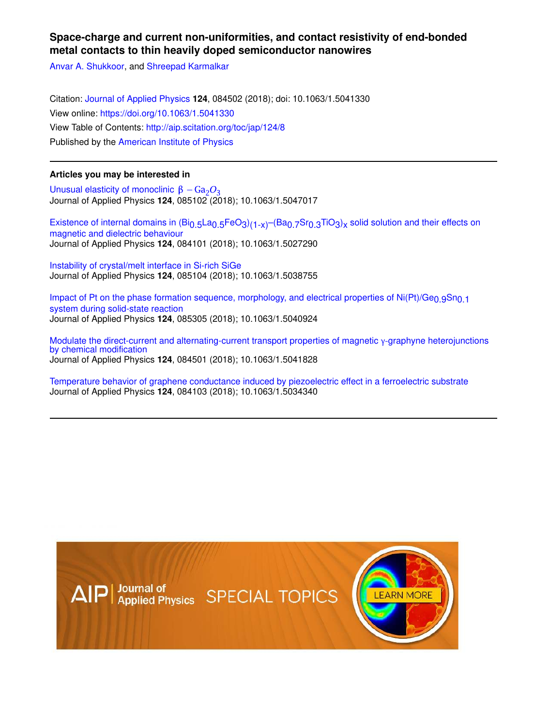# **Space-charge and current non-uniformities, and contact resistivity of end-bonded metal contacts to thin heavily doped semiconductor nanowires**

Anvar A. Shukkoor, and Shreepad Karmalkar

Citation: Journal of Applied Physics **124**, 084502 (2018); doi: 10.1063/1.5041330 View online: https://doi.org/10.1063/1.5041330 View Table of Contents: http://aip.scitation.org/toc/jap/124/8 Published by the American Institute of Physics

# **Articles you may be interested in**

Unusual elasticity of monoclinic  $\beta - Ga_2O_3$ Journal of Applied Physics **124**, 085102 (2018); 10.1063/1.5047017

Existence of internal domains in (Bi<sub>0.5</sub>La<sub>0.5</sub>FeO<sub>3</sub>)<sub>(1-x)</sub>-(Ba<sub>0.7</sub>Sr<sub>0.3</sub>TiO<sub>3</sub>)<sub>x</sub> solid solution and their effects on magnetic and dielectric behaviour Journal of Applied Physics **124**, 084101 (2018); 10.1063/1.5027290

Instability of crystal/melt interface in Si-rich SiGe Journal of Applied Physics **124**, 085104 (2018); 10.1063/1.5038755

Impact of Pt on the phase formation sequence, morphology, and electrical properties of Ni(Pt)/Ge<sub>0.9</sub>Sn<sub>0.1</sub> system during solid-state reaction Journal of Applied Physics **124**, 085305 (2018); 10.1063/1.5040924

Modulate the direct-current and alternating-current transport properties of magnetic γ-graphyne heterojunctions by chemical modification Journal of Applied Physics **124**, 084501 (2018); 10.1063/1.5041828

Temperature behavior of graphene conductance induced by piezoelectric effect in a ferroelectric substrate Journal of Applied Physics **124**, 084103 (2018); 10.1063/1.5034340

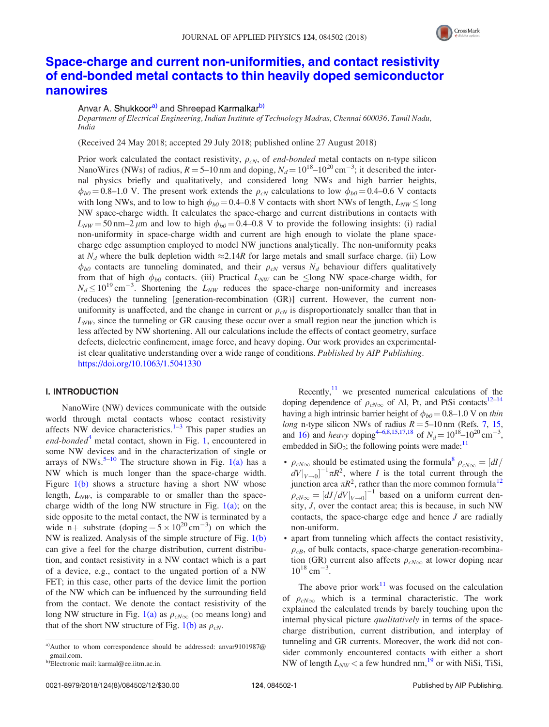

# Space-charge and current non-uniformities, and contact resistivity of end-bonded metal contacts to thin heavily doped semiconductor nanowires

### Anvar A. Shukkoor<sup>a)</sup> and Shreepad Karmalkar<sup>b)</sup>

Department of Electrical Engineering, Indian Institute of Technology Madras, Chennai 600036, Tamil Nadu, India

(Received 24 May 2018; accepted 29 July 2018; published online 27 August 2018)

Prior work calculated the contact resistivity,  $\rho_{cN}$ , of end-bonded metal contacts on n-type silicon NanoWires (NWs) of radius,  $R = 5{\text -}10$  nm and doping,  $N_d = 10^{18} {\text -}10^{20}$  cm<sup>-3</sup>; it described the internal physics briefly and qualitatively, and considered long NWs and high barrier heights,  $\phi_{b0} = 0.8$ –1.0 V. The present work extends the  $\rho_{cN}$  calculations to low  $\phi_{b0} = 0.4$ –0.6 V contacts with long NWs, and to low to high  $\phi_{b0} = 0.4$ –0.8 V contacts with short NWs of length,  $L_{NW} \le \log$ NW space-charge width. It calculates the space-charge and current distributions in contacts with  $L_{NW}$  = 50 nm–2  $\mu$ m and low to high  $\phi_{b0}$  = 0.4–0.8 V to provide the following insights: (i) radial non-uniformity in space-charge width and current are high enough to violate the plane spacecharge edge assumption employed to model NW junctions analytically. The non-uniformity peaks at  $N_d$  where the bulk depletion width  $\approx 2.14R$  for large metals and small surface charge. (ii) Low  $\phi_{b0}$  contacts are tunneling dominated, and their  $\rho_{cN}$  versus  $N_d$  behaviour differs qualitatively from that of high  $\phi_{b0}$  contacts. (iii) Practical  $L_{NW}$  can be  $\leq$ long NW space-charge width, for  $N_d \le 10^{19} \text{ cm}^{-3}$ . Shortening the  $L_{NW}$  reduces the space-charge non-uniformity and increases (reduces) the tunneling [generation-recombination (GR)] current. However, the current nonuniformity is unaffected, and the change in current or  $\rho_{cN}$  is disproportionately smaller than that in  $L_{NW}$ , since the tunneling or GR causing these occur over a small region near the junction which is less affected by NW shortening. All our calculations include the effects of contact geometry, surface defects, dielectric confinement, image force, and heavy doping. Our work provides an experimentalist clear qualitative understanding over a wide range of conditions. Published by AIP Publishing. https://doi.org/10.1063/1.5041330

#### I. INTRODUCTION

NanoWire (NW) devices communicate with the outside world through metal contacts whose contact resistivity affects NW device characteristics. $1-3$  This paper studies an end-bonded<sup>4</sup> metal contact, shown in Fig. 1, encountered in some NW devices and in the characterization of single or arrays of NWs.<sup>5–10</sup> The structure shown in Fig.  $1(a)$  has a NW which is much longer than the space-charge width. Figure  $1(b)$  shows a structure having a short NW whose length,  $L_{NW}$ , is comparable to or smaller than the spacecharge width of the long NW structure in Fig.  $1(a)$ ; on the side opposite to the metal contact, the NW is terminated by a wide n+ substrate (doping =  $5 \times 10^{20}$  cm<sup>-3</sup>) on which the NW is realized. Analysis of the simple structure of Fig. 1(b) can give a feel for the charge distribution, current distribution, and contact resistivity in a NW contact which is a part of a device, e.g., contact to the ungated portion of a NW FET; in this case, other parts of the device limit the portion of the NW which can be influenced by the surrounding field from the contact. We denote the contact resistivity of the long NW structure in Fig. 1(a) as  $\rho_{cN\infty}$  ( $\infty$  means long) and that of the short NW structure of Fig. 1(b) as  $\rho_{cN}$ .

Recently, $11$  we presented numerical calculations of the doping dependence of  $\rho_{cN\infty}$  of Al, Pt, and PtSi contacts<sup>12–14</sup> having a high intrinsic barrier height of  $\phi_{b0} = 0.8{\text -}1.0$  V on thin long n-type silicon NWs of radius  $R = 5{\text -}10 \text{ nm}$  (Refs. 7, 15, and 16) and heavy doping<sup>4-6,8,15,17,18</sup> of  $N_d = 10^{18}$ – $10^{20}$  cm<sup>-3</sup>, embedded in  $SiO_2$ ; the following points were made:<sup>11</sup>

- $\rho_{cN\infty}$  should be estimated using the formula<sup>8</sup>  $\rho_{cN\infty} = \frac{dI}{dt}$  $dV|_{V\rightarrow 0}$ <sup>-1</sup> $\pi R^2$ , where I is the total current through the junction area  $\pi R^2$ , rather than the more common formula<sup>12</sup>  $\rho_{cN\infty} = \left[dJ/dV|_{V\rightarrow 0}\right]^{-1}$  based on a uniform current density, J, over the contact area; this is because, in such NW contacts, the space-charge edge and hence J are radially non-uniform.
- apart from tunneling which affects the contact resistivity,  $\rho_{cB}$ , of bulk contacts, space-charge generation-recombination (GR) current also affects  $\rho_{cN\infty}$  at lower doping near  $10^{18}$  cm<sup>-3</sup>.

The above prior work $11$  was focused on the calculation of  $\rho_{cN\infty}$  which is a terminal characteristic. The work explained the calculated trends by barely touching upon the internal physical picture *qualitatively* in terms of the spacecharge distribution, current distribution, and interplay of tunneling and GR currents. Moreover, the work did not consider commonly encountered contacts with either a short NW of length  $L_{NW}$  < a few hundred nm, <sup>19</sup> or with NiSi, TiSi,

a)Author to whom correspondence should be addressed: anvar9101987@ gmail.com.

b)Electronic mail: karmal@ee.iitm.ac.in.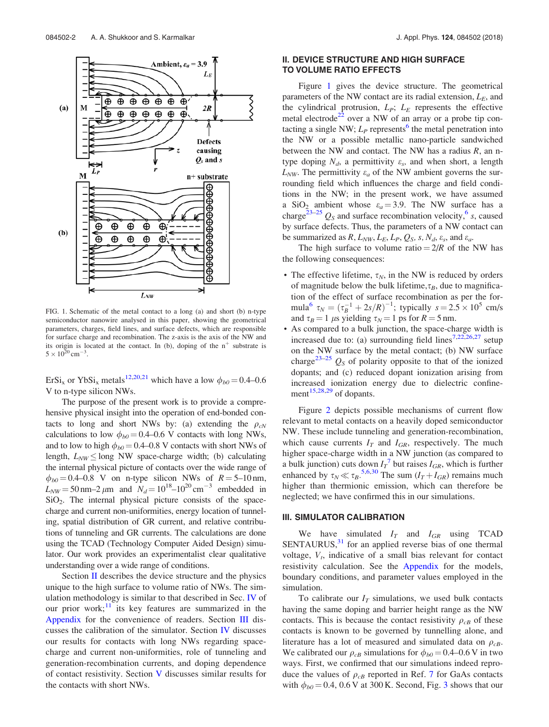

FIG. 1. Schematic of the metal contact to a long (a) and short (b) n-type semiconductor nanowire analysed in this paper, showing the geometrical parameters, charges, field lines, and surface defects, which are responsible for surface charge and recombination. The z-axis is the axis of the NW and its origin is located at the contact. In (b), doping of the  $n^+$  substrate is  $5 \times 10^{20}$  cm<sup>-3</sup>.

ErSi<sub>x</sub> or YbSi<sub>x</sub> metals<sup>12,20,21</sup> which have a low  $\phi_{b0} = 0.4 - 0.6$ V to n-type silicon NWs.

The purpose of the present work is to provide a comprehensive physical insight into the operation of end-bonded contacts to long and short NWs by: (a) extending the  $\rho_{cN}$ calculations to low  $\phi_{b0}$  = 0.4–0.6 V contacts with long NWs, and to low to high  $\phi_{b0}$  = 0.4–0.8 V contacts with short NWs of length,  $L_{NW} \leq$ long NW space-charge width; (b) calculating the internal physical picture of contacts over the wide range of  $\phi_{b0}$  = 0.4–0.8 V on n-type silicon NWs of R = 5–10 nm,  $L_{NW} = 50 \text{ nm} - 2 \mu \text{m}$  and  $N_d = 10^{18} - 10^{20} \text{ cm}^{-3}$  embedded in  $SiO<sub>2</sub>$ . The internal physical picture consists of the spacecharge and current non-uniformities, energy location of tunneling, spatial distribution of GR current, and relative contributions of tunneling and GR currents. The calculations are done using the TCAD (Technology Computer Aided Design) simulator. Our work provides an experimentalist clear qualitative understanding over a wide range of conditions.

Section II describes the device structure and the physics unique to the high surface to volume ratio of NWs. The simulation methodology is similar to that described in Sec. IV of our prior work;<sup>11</sup> its key features are summarized in the Appendix for the convenience of readers. Section III discusses the calibration of the simulator. Section IV discusses our results for contacts with long NWs regarding spacecharge and current non-uniformities, role of tunneling and generation-recombination currents, and doping dependence of contact resistivity. Section V discusses similar results for the contacts with short NWs.

#### II. DEVICE STRUCTURE AND HIGH SURFACE TO VOLUME RATIO EFFECTS

Figure 1 gives the device structure. The geometrical parameters of the NW contact are its radial extension,  $L<sub>E</sub>$ , and the cylindrical protrusion,  $L_P$ ;  $L_E$  represents the effective metal electrode $22$  over a NW of an array or a probe tip contacting a single NW;  $L_P$  represents<sup>6</sup> the metal penetration into the NW or a possible metallic nano-particle sandwiched between the NW and contact. The NW has a radius  $R$ , an ntype doping  $N_d$ , a permittivity  $\varepsilon_s$ , and when short, a length  $L_{NW}$ . The permittivity  $\varepsilon_a$  of the NW ambient governs the surrounding field which influences the charge and field conditions in the NW; in the present work, we have assumed a SiO<sub>2</sub> ambient whose  $\varepsilon_a = 3.9$ . The NW surface has a charge<sup>23–25</sup>  $Q_s$  and surface recombination velocity,<sup>6</sup> s, caused by surface defects. Thus, the parameters of a NW contact can be summarized as  $R$ ,  $L_{NW}$ ,  $L_E$ ,  $L_P$ ,  $Q_S$ ,  $s$ ,  $N_d$ ,  $\varepsilon_s$ , and  $\varepsilon_a$ .

The high surface to volume ratio  $= 2/R$  of the NW has the following consequences:

- The effective lifetime,  $\tau_N$ , in the NW is reduced by orders of magnitude below the bulk lifetime,  $\tau_B$ , due to magnification of the effect of surface recombination as per the formula<sup>6</sup>  $\tau_N = (\tau_B^{-1} + 2s/R)^{-1}$ ; typically  $s = 2.5 \times 10^5$  cm/s and  $\tau_B = 1$  µs yielding  $\tau_N = 1$  ps for  $R = 5$  nm.
- As compared to a bulk junction, the space-charge width is increased due to: (a) surrounding field lines<sup>7,22,26,27</sup> setup on the NW surface by the metal contact; (b) NW surface charge<sup>23–25</sup>  $Q_s$  of polarity opposite to that of the ionized dopants; and (c) reduced dopant ionization arising from increased ionization energy due to dielectric confinement<sup>15,28,29</sup> of dopants.

Figure 2 depicts possible mechanisms of current flow relevant to metal contacts on a heavily doped semiconductor NW. These include tunneling and generation-recombination, which cause currents  $I_T$  and  $I_{GR}$ , respectively. The much higher space-charge width in a NW junction (as compared to a bulk junction) cuts down  $I_T^7$  but raises  $I_{GR}$ , which is further enhanced by  $\tau_N \ll \tau_B$ .<sup>5,6,30</sup> The sum  $(I_T + I_{GR})$  remains much higher than thermionic emission, which can therefore be neglected; we have confirmed this in our simulations.

#### III. SIMULATOR CALIBRATION

We have simulated  $I_T$  and  $I_{GR}$  using TCAD  $SENTAURUS$ <sup>31</sup> for an applied reverse bias of one thermal voltage,  $V_t$ , indicative of a small bias relevant for contact resistivity calculation. See the Appendix for the models, boundary conditions, and parameter values employed in the simulation.

To calibrate our  $I_T$  simulations, we used bulk contacts having the same doping and barrier height range as the NW contacts. This is because the contact resistivity  $\rho_{cB}$  of these contacts is known to be governed by tunnelling alone, and literature has a lot of measured and simulated data on  $\rho_{cB}$ . We calibrated our  $\rho_{cB}$  simulations for  $\phi_{b0} = 0.4{\text -}0.6 \text{ V}$  in two ways. First, we confirmed that our simulations indeed reproduce the values of  $\rho_{cB}$  reported in Ref. 7 for GaAs contacts with  $\phi_{b0} = 0.4$ , 0.6 V at 300 K. Second, Fig. 3 shows that our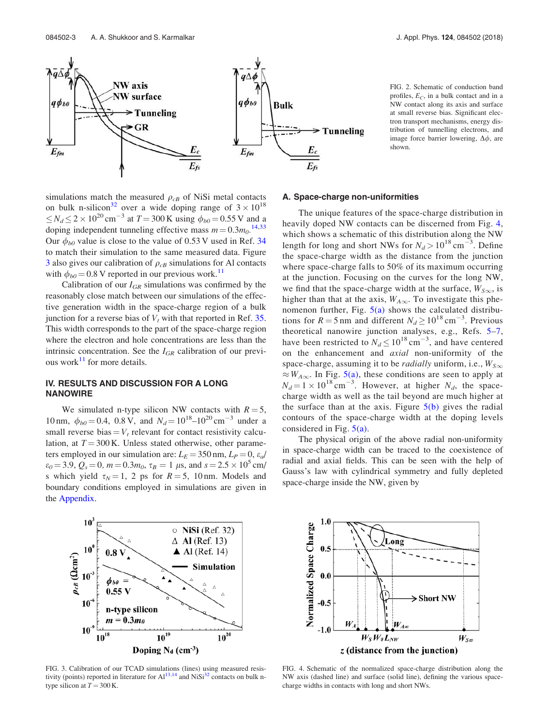

FIG. 2. Schematic of conduction band profiles,  $E_C$ , in a bulk contact and in a NW contact along its axis and surface at small reverse bias. Significant electron transport mechanisms, energy distribution of tunnelling electrons, and image force barrier lowering,  $\Delta \phi$ , are shown.

simulations match the measured  $\rho_{cB}$  of NiSi metal contacts on bulk n-silicon<sup>32</sup> over a wide doping range of  $3 \times 10^{18}$  $\leq N_d \leq 2 \times 10^{20}$  cm<sup>-3</sup> at  $T = 300$  K using  $\phi_{b0} = 0.55$  V and a doping independent tunneling effective mass  $m = 0.3 m_0$ .<sup>14,33</sup> Our  $\phi_{b0}$  value is close to the value of 0.53 V used in Ref. 34 to match their simulation to the same measured data. Figure 3 also gives our calibration of  $\rho_{cB}$  simulations for Al contacts with  $\phi_{b0} = 0.8$  V reported in our previous work.<sup>11</sup>

Calibration of our  $I_{GR}$  simulations was confirmed by the reasonably close match between our simulations of the effective generation width in the space-charge region of a bulk junction for a reverse bias of  $V_t$  with that reported in Ref. 35. This width corresponds to the part of the space-charge region where the electron and hole concentrations are less than the intrinsic concentration. See the  $I_{GR}$  calibration of our previous work $^{11}$  for more details.

### IV. RESULTS AND DISCUSSION FOR A LONG **NANOWIRE**

We simulated n-type silicon NW contacts with  $R = 5$ , 10 nm,  $\phi_{b0} = 0.4$ , 0.8 V, and  $N_d = 10^{18} - 10^{20}$  cm<sup>-3</sup> under a small reverse bias  $= V_t$  relevant for contact resistivity calculation, at  $T = 300$  K. Unless stated otherwise, other parameters employed in our simulation are:  $L<sub>E</sub> = 350$  nm,  $L<sub>P</sub> = 0$ ,  $\varepsilon_d$ /  $\varepsilon_0$  = 3.9,  $Q_s$  = 0, m = 0.3m<sub>0</sub>,  $\tau_B$  = 1  $\mu$ s, and s = 2.5  $\times$  10<sup>5</sup> cm/ s which yield  $\tau_N = 1$ , 2 ps for  $R = 5$ , 10 nm. Models and boundary conditions employed in simulations are given in the Appendix.

#### A. Space-charge non-uniformities

The unique features of the space-charge distribution in heavily doped NW contacts can be discerned from Fig. 4, which shows a schematic of this distribution along the NW length for long and short NWs for  $N_d > 10^{18} \text{ cm}^{-3}$ . Define the space-charge width as the distance from the junction where space-charge falls to 50% of its maximum occurring at the junction. Focusing on the curves for the long NW, we find that the space-charge width at the surface,  $W_{S_{\infty}}$ , is higher than that at the axis,  $W_{A\infty}$ . To investigate this phenomenon further, Fig.  $5(a)$  shows the calculated distributions for  $R = 5$  nm and different  $N_d \ge 10^{18}$  cm<sup>-3</sup>. Previous theoretical nanowire junction analyses, e.g., Refs. 5–7, have been restricted to  $N_d \le 10^{18} \text{ cm}^{-3}$ , and have centered on the enhancement and axial non-uniformity of the space-charge, assuming it to be *radially* uniform, i.e.,  $W_{S\infty}$  $\approx W_{A\infty}$ . In Fig. 5(a), these conditions are seen to apply at  $N_d = 1 \times 10^{18} \text{ cm}^{-3}$ . However, at higher  $N_d$ , the spacecharge width as well as the tail beyond are much higher at the surface than at the axis. Figure  $5(b)$  gives the radial contours of the space-charge width at the doping levels considered in Fig. 5(a).

The physical origin of the above radial non-uniformity in space-charge width can be traced to the coexistence of radial and axial fields. This can be seen with the help of Gauss's law with cylindrical symmetry and fully depleted space-charge inside the NW, given by



FIG. 3. Calibration of our TCAD simulations (lines) using measured resistivity (points) reported in literature for  $Al^{13,14}$  and  $NiSi^{32}$  contacts on bulk ntype silicon at  $T = 300$  K.



FIG. 4. Schematic of the normalized space-charge distribution along the NW axis (dashed line) and surface (solid line), defining the various spacecharge widths in contacts with long and short NWs.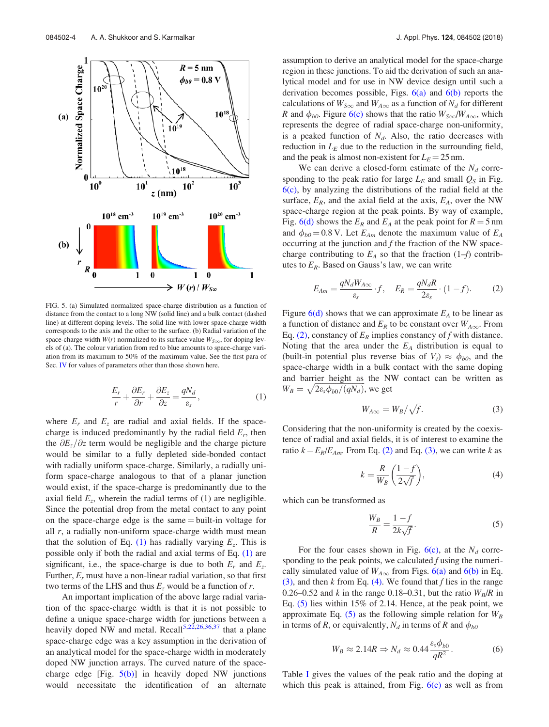

FIG. 5. (a) Simulated normalized space-charge distribution as a function of distance from the contact to a long NW (solid line) and a bulk contact (dashed line) at different doping levels. The solid line with lower space-charge width corresponds to the axis and the other to the surface. (b) Radial variation of the space-charge width  $W(r)$  normalized to its surface value  $W_{S\infty}$ , for doping levels of (a). The colour variation from red to blue amounts to space-charge variation from its maximum to 50% of the maximum value. See the first para of Sec. IV for values of parameters other than those shown here.

$$
\frac{E_r}{r} + \frac{\partial E_r}{\partial r} + \frac{\partial E_z}{\partial z} = \frac{qN_d}{\varepsilon_s},\tag{1}
$$

where  $E_r$  and  $E_z$  are radial and axial fields. If the spacecharge is induced predominantly by the radial field  $E_r$ , then the  $\partial E_z/\partial z$  term would be negligible and the charge picture would be similar to a fully depleted side-bonded contact with radially uniform space-charge. Similarly, a radially uniform space-charge analogous to that of a planar junction would exist, if the space-charge is predominantly due to the axial field  $E_z$ , wherein the radial terms of (1) are negligible. Since the potential drop from the metal contact to any point on the space-charge edge is the same  $=$  built-in voltage for all  $r$ , a radially non-uniform space-charge width must mean that the solution of Eq. (1) has radially varying  $E_z$ . This is possible only if both the radial and axial terms of Eq. (1) are significant, i.e., the space-charge is due to both  $E_r$  and  $E_z$ . Further,  $E_r$  must have a non-linear radial variation, so that first two terms of the LHS and thus  $E_z$  would be a function of r.

An important implication of the above large radial variation of the space-charge width is that it is not possible to define a unique space-charge width for junctions between a heavily doped NW and metal. Recall<sup>5,22,26,36,37</sup> that a plane space-charge edge was a key assumption in the derivation of an analytical model for the space-charge width in moderately doped NW junction arrays. The curved nature of the spacecharge edge [Fig.  $5(b)$ ] in heavily doped NW junctions would necessitate the identification of an alternate assumption to derive an analytical model for the space-charge region in these junctions. To aid the derivation of such an analytical model and for use in NW device design until such a derivation becomes possible, Figs.  $6(a)$  and  $6(b)$  reports the calculations of  $W_{S\infty}$  and  $W_{A\infty}$  as a function of  $N_d$  for different R and  $\phi_{b0}$ . Figure 6(c) shows that the ratio  $W_{S\infty}/W_{A\infty}$ , which represents the degree of radial space-charge non-uniformity, is a peaked function of  $N_d$ . Also, the ratio decreases with reduction in  $L<sub>E</sub>$  due to the reduction in the surrounding field, and the peak is almost non-existent for  $L<sub>E</sub> = 25$  nm.

We can derive a closed-form estimate of the  $N_d$  corresponding to the peak ratio for large  $L<sub>E</sub>$  and small  $Q<sub>S</sub>$  in Fig. 6(c), by analyzing the distributions of the radial field at the surface,  $E_R$ , and the axial field at the axis,  $E_A$ , over the NW space-charge region at the peak points. By way of example, Fig. 6(d) shows the  $E_R$  and  $E_A$  at the peak point for  $R = 5$  nm and  $\phi_{b0} = 0.8$  V. Let  $E_{Am}$  denote the maximum value of  $E_A$ occurring at the junction and  $f$  the fraction of the NW spacecharge contributing to  $E_A$  so that the fraction (1–f) contributes to  $E_R$ . Based on Gauss's law, we can write

$$
E_{Am} = \frac{qN_dW_{A\infty}}{\varepsilon_s} \cdot f, \quad E_R = \frac{qN_dR}{2\varepsilon_s} \cdot (1 - f). \tag{2}
$$

Figure  $6(d)$  shows that we can approximate  $E_A$  to be linear as a function of distance and  $E_R$  to be constant over  $W_{A\infty}$ . From Eq. (2), constancy of  $E_R$  implies constancy of f with distance. Noting that the area under the  $E_A$  distribution is equal to (built-in potential plus reverse bias of  $V_t$ )  $\approx \phi_{b0}$ , and the space-charge width in a bulk contact with the same doping and barrier height as the NW contact can be written as  $W_B = \sqrt{2\varepsilon_s\phi_{b0}/(qN_d)}$ , we get

$$
W_{A\infty} = W_B / \sqrt{f}.
$$
 (3)

Considering that the non-uniformity is created by the coexistence of radial and axial fields, it is of interest to examine the ratio  $k = E_R/E_{Am}$ . From Eq. (2) and Eq. (3), we can write k as

$$
k = \frac{R}{W_B} \left( \frac{1 - f}{2\sqrt{f}} \right),\tag{4}
$$

which can be transformed as

$$
\frac{W_B}{R} = \frac{1 - f}{2k\sqrt{f}}.\tag{5}
$$

For the four cases shown in Fig.  $6(c)$ , at the  $N_d$  corresponding to the peak points, we calculated  $f$  using the numerically simulated value of  $W_{A\infty}$  from Figs. 6(a) and 6(b) in Eq. (3), and then  $k$  from Eq. (4). We found that  $f$  lies in the range 0.26–0.52 and k in the range 0.18–0.31, but the ratio  $W_B/R$  in Eq. (5) lies within 15% of 2.14. Hence, at the peak point, we approximate Eq.  $(5)$  as the following simple relation for  $W_B$ in terms of R, or equivalently,  $N_d$  in terms of R and  $\phi_{b0}$ 

$$
W_B \approx 2.14R \Rightarrow N_d \approx 0.44 \frac{\varepsilon_s \phi_{b0}}{qR^2}.
$$
 (6)

Table I gives the values of the peak ratio and the doping at which this peak is attained, from Fig.  $6(c)$  as well as from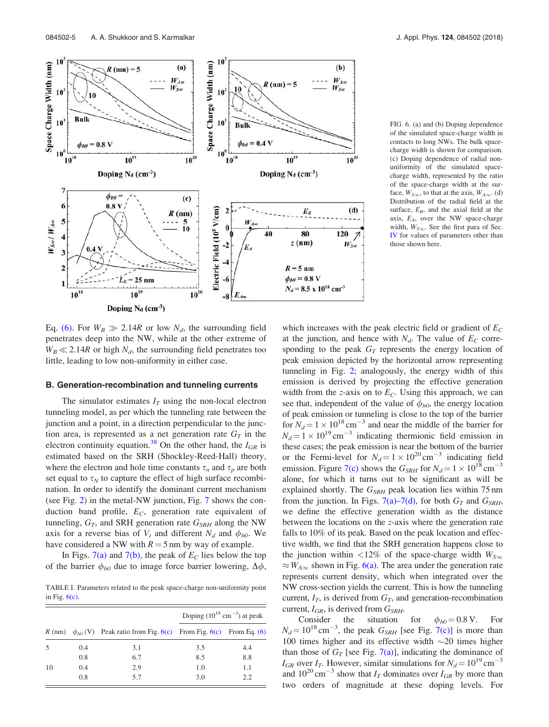

FIG. 6. (a) and (b) Doping dependence of the simulated space-charge width in contacts to long NWs. The bulk spacecharge width is shown for comparison. (c) Doping dependence of radial nonuniformity of the simulated spacecharge width, represented by the ratio of the space-charge width at the surface,  $W_{S\infty}$ , to that at the axis,  $W_{A\infty}$ . (d) Distribution of the radial field at the surface,  $E_R$ , and the axial field at the axis,  $E_A$ , over the NW space-charge width,  $W_{S\infty}$ . See the first para of Sec. IV for values of parameters other than those shown here.

Eq. (6). For  $W_B \gg 2.14R$  or low  $N_d$ , the surrounding field penetrates deep into the NW, while at the other extreme of  $W_B \ll 2.14R$  or high  $N_d$ , the surrounding field penetrates too little, leading to low non-uniformity in either case.

#### B. Generation-recombination and tunneling currents

The simulator estimates  $I_T$  using the non-local electron tunneling model, as per which the tunneling rate between the junction and a point, in a direction perpendicular to the junction area, is represented as a net generation rate  $G_T$  in the electron continuity equation.<sup>38</sup> On the other hand, the  $I_{GR}$  is estimated based on the SRH (Shockley-Reed-Hall) theory, where the electron and hole time constants  $\tau_n$  and  $\tau_p$  are both set equal to  $\tau_N$  to capture the effect of high surface recombination. In order to identify the dominant current mechanism (see Fig. 2) in the metal-NW junction, Fig. 7 shows the conduction band profile,  $E_C$ , generation rate equivalent of tunneling,  $G_T$ , and SRH generation rate  $G_{SRH}$  along the NW axis for a reverse bias of  $V_t$  and different  $N_d$  and  $\phi_{b0}$ . We have considered a NW with  $R = 5$  nm by way of example.

In Figs. 7(a) and 7(b), the peak of  $E_C$  lies below the top of the barrier  $\phi_{b0}$  due to image force barrier lowering,  $\Delta \phi$ ,

TABLE I. Parameters related to the peak space-charge non-uniformity point in Fig.  $6(c)$ .

|    |     | R (nm) $\phi_{b0}$ (V) Peak ratio from Fig. 6(c) From Fig. 6(c) From Eq. (6) | Doping $(10^{18} \text{ cm}^{-3})$ at peak |     |  |
|----|-----|------------------------------------------------------------------------------|--------------------------------------------|-----|--|
|    |     |                                                                              |                                            |     |  |
| .5 | 0.4 | 3.1                                                                          | 3.5                                        | 4.4 |  |
|    | 0.8 | 6.7                                                                          | 8.5                                        | 8.8 |  |
| 10 | 0.4 | 2.9                                                                          | 1.0                                        | 1.1 |  |
|    | 0.8 | 5.7                                                                          | 3.0                                        | 2.2 |  |

which increases with the peak electric field or gradient of  $E_C$ at the junction, and hence with  $N_d$ . The value of  $E_C$  corresponding to the peak  $G_T$  represents the energy location of peak emission depicted by the horizontal arrow representing tunneling in Fig. 2; analogously, the energy width of this emission is derived by projecting the effective generation width from the z-axis on to  $E_C$ . Using this approach, we can see that, independent of the value of  $\phi_{b0}$ , the energy location of peak emission or tunneling is close to the top of the barrier for  $N_d = 1 \times 10^{18} \text{ cm}^{-3}$  and near the middle of the barrier for  $N_d = 1 \times 10^{19} \text{ cm}^{-3}$  indicating thermionic field emission in these cases; the peak emission is near the bottom of the barrier or the Fermi-level for  $N_d = 1 \times 10^{20} \text{ cm}^{-3}$  indicating field emission. Figure 7(c) shows the  $G_{SRH}$  for  $N_d = 1 \times 10^{18}$  cm<sup>-3</sup> alone, for which it turns out to be significant as will be explained shortly. The  $G_{SRH}$  peak location lies within 75 nm from the junction. In Figs. 7(a)–7(d), for both  $G_T$  and  $G_{SRH}$ , we define the effective generation width as the distance between the locations on the z-axis where the generation rate falls to 10% of its peak. Based on the peak location and effective width, we find that the SRH generation happens close to the junction within <12% of the space-charge width  $W_{S\infty}$  $\approx$   $W_{A\infty}$  shown in Fig. 6(a). The area under the generation rate represents current density, which when integrated over the NW cross-section yields the current. This is how the tunneling current,  $I_T$ , is derived from  $G_T$ , and generation-recombination current,  $I_{GR}$ , is derived from  $G_{SRH}$ .

Consider the situation for  $\phi_{b0} = 0.8 \text{ V}$ . For  $N_d = 10^{18} \text{ cm}^{-3}$ , the peak  $G_{SRH}$  [see Fig. 7(c)] is more than 100 times higher and its effective width  $\sim$ 20 times higher than those of  $G_T$  [see Fig. 7(a)], indicating the dominance of  $I_{GR}$  over  $I_T$ . However, similar simulations for  $N_d = 10^{19}$  cm<sup>-3</sup> and  $10^{20}$  cm<sup>-3</sup> show that  $I_T$  dominates over  $I_{GR}$  by more than two orders of magnitude at these doping levels. For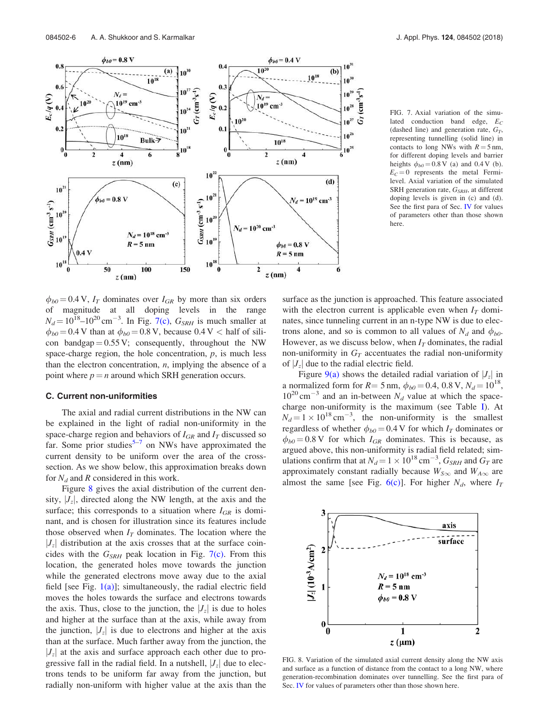

FIG. 7. Axial variation of the simulated conduction band edge,  $E_C$ (dashed line) and generation rate,  $G_T$ , representing tunnelling (solid line) in contacts to long NWs with  $R = 5$  nm, for different doping levels and barrier heights  $\phi_{b0} = 0.8 \text{ V}$  (a) and 0.4 V (b).  $E_C = 0$  represents the metal Fermilevel. Axial variation of the simulated SRH generation rate,  $G_{SRH}$ , at different doping levels is given in (c) and (d). See the first para of Sec. IV for values of parameters other than those shown here.

 $\phi_{b0}$  = 0.4 V,  $I_T$  dominates over  $I_{GR}$  by more than six orders of magnitude at all doping levels in the range  $N_d = 10^{18} - 10^{20} \text{ cm}^{-3}$ . In Fig. 7(c),  $G_{SRH}$  is much smaller at  $\phi_{b0}$  = 0.4 V than at  $\phi_{b0}$  = 0.8 V, because 0.4 V < half of silicon bandgap =  $0.55$  V; consequently, throughout the NW space-charge region, the hole concentration,  $p$ , is much less than the electron concentration,  $n$ , implying the absence of a point where  $p = n$  around which SRH generation occurs.

#### C. Current non-uniformities

The axial and radial current distributions in the NW can be explained in the light of radial non-uniformity in the space-charge region and behaviors of  $I_{GR}$  and  $I_T$  discussed so far. Some prior studies<sup>5-7</sup> on NWs have approximated the current density to be uniform over the area of the crosssection. As we show below, this approximation breaks down for  $N_d$  and R considered in this work.

Figure 8 gives the axial distribution of the current density,  $|J_z|$ , directed along the NW length, at the axis and the surface; this corresponds to a situation where  $I_{GR}$  is dominant, and is chosen for illustration since its features include those observed when  $I_T$  dominates. The location where the  $|J_z|$  distribution at the axis crosses that at the surface coincides with the  $G_{SRH}$  peak location in Fig. 7(c). From this location, the generated holes move towards the junction while the generated electrons move away due to the axial field [see Fig.  $1(a)$ ]; simultaneously, the radial electric field moves the holes towards the surface and electrons towards the axis. Thus, close to the junction, the  $|J_z|$  is due to holes and higher at the surface than at the axis, while away from the junction,  $|J_z|$  is due to electrons and higher at the axis than at the surface. Much farther away from the junction, the  $|J_z|$  at the axis and surface approach each other due to progressive fall in the radial field. In a nutshell,  $|J_z|$  due to electrons tends to be uniform far away from the junction, but radially non-uniform with higher value at the axis than the surface as the junction is approached. This feature associated with the electron current is applicable even when  $I_T$  dominates, since tunneling current in an n-type NW is due to electrons alone, and so is common to all values of  $N_d$  and  $\phi_{b0}$ . However, as we discuss below, when  $I_T$  dominates, the radial non-uniformity in  $G_T$  accentuates the radial non-uniformity of  $|J_z|$  due to the radial electric field.

Figure 9(a) shows the detailed radial variation of  $|J_z|$  in a normalized form for  $R = 5$  nm,  $\phi_{b0} = 0.4$ , 0.8 V,  $N_d = 10^{18}$ ,  $10^{20}$  cm<sup>-3</sup> and an in-between  $N_d$  value at which the spacecharge non-uniformity is the maximum (see Table I). At  $N_d = 1 \times 10^{18} \text{ cm}^{-3}$ , the non-uniformity is the smallest regardless of whether  $\phi_{b0} = 0.4$  V for which  $I_T$  dominates or  $\phi_{b0} = 0.8 \text{ V}$  for which  $I_{GR}$  dominates. This is because, as argued above, this non-uniformity is radial field related; simulations confirm that at  $N_d = 1 \times 10^{18} \text{ cm}^{-3}$ ,  $G_{SRH}$  and  $G_T$  are approximately constant radially because  $W_{S\infty}$  and  $W_{A\infty}$  are almost the same [see Fig.  $6(c)$ ]. For higher  $N_d$ , where  $I_T$ 



FIG. 8. Variation of the simulated axial current density along the NW axis and surface as a function of distance from the contact to a long NW, where generation-recombination dominates over tunnelling. See the first para of Sec. IV for values of parameters other than those shown here.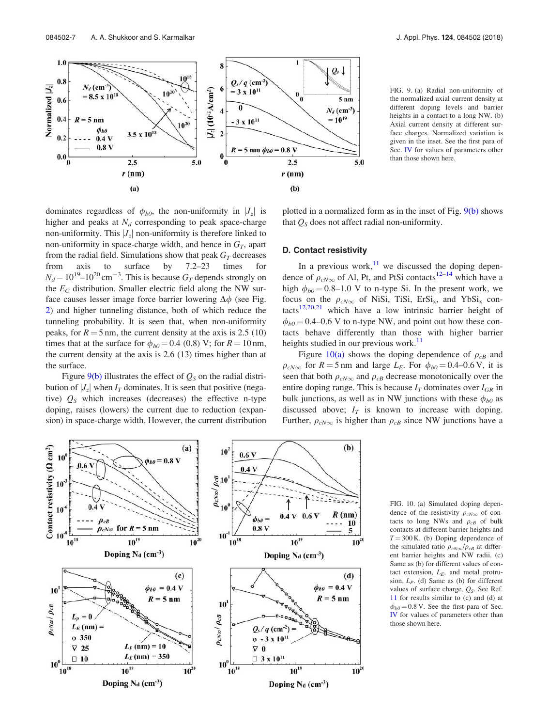

FIG. 9. (a) Radial non-uniformity of the normalized axial current density at different doping levels and barrier heights in a contact to a long NW. (b) Axial current density at different surface charges. Normalized variation is given in the inset. See the first para of Sec. IV for values of parameters other than those shown here.

dominates regardless of  $\phi_{b0}$ , the non-uniformity in  $|J_z|$  is higher and peaks at  $N_d$  corresponding to peak space-charge non-uniformity. This  $|J_z|$  non-uniformity is therefore linked to non-uniformity in space-charge width, and hence in  $G_T$ , apart from the radial field. Simulations show that peak  $G_T$  decreases from axis to surface by 7.2–23 times for  $N_d = 10^{19} - 10^{20}$  cm<sup>-3</sup>. This is because  $G_T$  depends strongly on the  $E_C$  distribution. Smaller electric field along the NW surface causes lesser image force barrier lowering  $\Delta \phi$  (see Fig. 2) and higher tunneling distance, both of which reduce the tunneling probability. It is seen that, when non-uniformity peaks, for  $R = 5$  nm, the current density at the axis is 2.5 (10) times that at the surface for  $\phi_{b0} = 0.4$  (0.8) V; for  $R = 10$  nm, the current density at the axis is 2.6 (13) times higher than at the surface.

Figure  $9(b)$  illustrates the effect of  $Q_S$  on the radial distribution of  $|J_z|$  when  $I_T$  dominates. It is seen that positive (negative)  $Q<sub>S</sub>$  which increases (decreases) the effective n-type doping, raises (lowers) the current due to reduction (expansion) in space-charge width. However, the current distribution plotted in a normalized form as in the inset of Fig. 9(b) shows that  $Q_S$  does not affect radial non-uniformity.

# D. Contact resistivity

In a previous work, $11$  we discussed the doping dependence of  $\rho_{cN\infty}$  of Al, Pt, and PtSi contacts<sup>12–14</sup> which have a high  $\phi_{b0} = 0.8$ –1.0 V to n-type Si. In the present work, we focus on the  $\rho_{cN\infty}$  of NiSi, TiSi, ErSi<sub>x</sub>, and YbSi<sub>x</sub> contacts<sup>12,20,21</sup> which have a low intrinsic barrier height of  $\phi_{b0} = 0.4$ –0.6 V to n-type NW, and point out how these contacts behave differently than those with higher barrier heights studied in our previous work.<sup>11</sup>

Figure 10(a) shows the doping dependence of  $\rho_{cB}$  and  $\rho_{cN\infty}$  for  $R = 5$  nm and large  $L_E$ . For  $\phi_{b0} = 0.4{\text{-}}0.6$  V, it is seen that both  $\rho_{cN\infty}$  and  $\rho_{cB}$  decrease monotonically over the entire doping range. This is because  $I_T$  dominates over  $I_{GR}$  in bulk junctions, as well as in NW junctions with these  $\phi_{b0}$  as discussed above;  $I_T$  is known to increase with doping. Further,  $\rho_{cN\infty}$  is higher than  $\rho_{cB}$  since NW junctions have a



FIG. 10. (a) Simulated doping dependence of the resistivity  $\rho_{cN\infty}$  of contacts to long NWs and  $\rho_{cB}$  of bulk contacts at different barrier heights and  $T = 300$  K. (b) Doping dependence of the simulated ratio  $\rho_{cN\infty}/\rho_{cB}$  at different barrier heights and NW radii. (c) Same as (b) for different values of contact extension,  $L_F$ , and metal protrusion,  $L_P$ . (d) Same as (b) for different values of surface charge,  $Q_S$ . See Ref. 11 for results similar to (c) and (d) at  $\phi_{b0}$  = 0.8 V. See the first para of Sec. IV for values of parameters other than those shown here.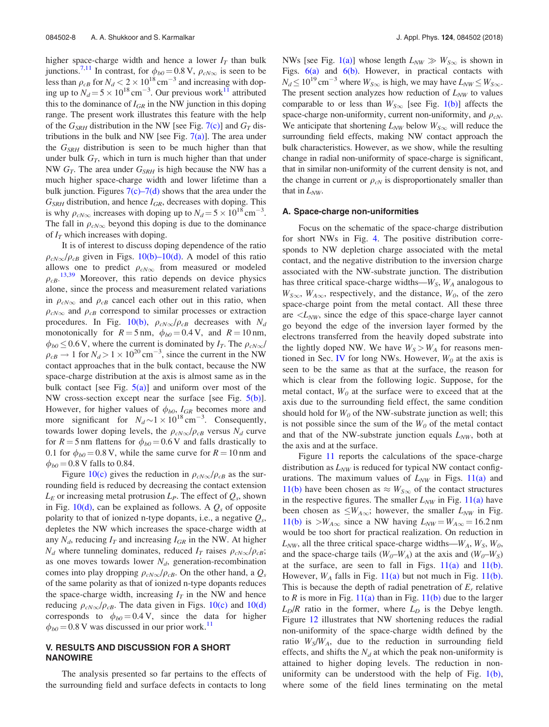higher space-charge width and hence a lower  $I_T$  than bulk junctions.<sup>7,11</sup> In contrast, for  $\phi_{b0} = 0.8 \text{ V}$ ,  $\rho_{cN\infty}$  is seen to be less than  $\rho_{cB}$  for  $N_d < 2 \times 10^{18}$  cm<sup>-3</sup> and increasing with doping up to  $N_d = 5 \times 10^{18} \text{ cm}^{-3}$ . Our previous work<sup>11</sup> attributed this to the dominance of  $I_{GR}$  in the NW junction in this doping range. The present work illustrates this feature with the help of the  $G_{SRH}$  distribution in the NW [see Fig. 7(c)] and  $G_T$  distributions in the bulk and NW [see Fig.  $7(a)$ ]. The area under the  $G_{SRH}$  distribution is seen to be much higher than that under bulk  $G_T$ , which in turn is much higher than that under NW  $G_T$ . The area under  $G_{SRH}$  is high because the NW has a much higher space-charge width and lower lifetime than a bulk junction. Figures  $7(c)$ – $7(d)$  shows that the area under the  $G_{SRH}$  distribution, and hence  $I_{GR}$ , decreases with doping. This is why  $\rho_{cN\infty}$  increases with doping up to  $N_d = 5 \times 10^{18} \text{ cm}^{-3}$ . The fall in  $\rho_{cN\infty}$  beyond this doping is due to the dominance of  $I_T$  which increases with doping.

It is of interest to discuss doping dependence of the ratio  $\rho_{cN\infty}/\rho_{cB}$  given in Figs. 10(b)–10(d). A model of this ratio allows one to predict  $\rho_{cN\infty}$  from measured or modeled  $\rho_{CB}$ .<sup>13,39</sup> Moreover, this ratio depends on device physics alone, since the process and measurement related variations in  $\rho_{cN\infty}$  and  $\rho_{cB}$  cancel each other out in this ratio, when  $\rho_{cN\infty}$  and  $\rho_{cB}$  correspond to similar processes or extraction procedures. In Fig. 10(b),  $\rho_{cN\infty}/\rho_{cB}$  decreases with  $N_d$ monotonically for  $R = 5$  nm,  $\phi_{b0} = 0.4$  V, and  $R = 10$  nm,  $\phi_{b0} \leq 0.6$  V, where the current is dominated by  $I_T$ . The  $\rho_{cN\infty}/I_T$  $\rho_{cB} \rightarrow 1$  for  $N_d > 1 \times 10^{20} \text{ cm}^{-3}$ , since the current in the NW contact approaches that in the bulk contact, because the NW space-charge distribution at the axis is almost same as in the bulk contact [see Fig.  $5(a)$ ] and uniform over most of the NW cross-section except near the surface [see Fig.  $5(b)$ ]. However, for higher values of  $\phi_{b0}$ ,  $I_{GR}$  becomes more and more significant for  $N_d \sim 1 \times 10^{18} \text{ cm}^{-3}$ . Consequently, towards lower doping levels, the  $\rho_{cN\infty}/\rho_{cB}$  versus  $N_d$  curve for  $R = 5$  nm flattens for  $\phi_{b0} = 0.6$  V and falls drastically to 0.1 for  $\phi_{b0} = 0.8$  V, while the same curve for  $R = 10$  nm and  $\phi_{b0} = 0.8 \text{ V}$  falls to 0.84.

Figure 10(c) gives the reduction in  $\rho_{cN\infty}/\rho_{cB}$  as the surrounding field is reduced by decreasing the contact extension  $L_E$  or increasing metal protrusion  $L_P$ . The effect of  $Q_s$ , shown in Fig. 10(d), can be explained as follows. A  $Q_s$  of opposite polarity to that of ionized n-type dopants, i.e., a negative  $Q_s$ , depletes the NW which increases the space-charge width at any  $N_d$ , reducing  $I_T$  and increasing  $I_{GR}$  in the NW. At higher  $N_d$  where tunneling dominates, reduced  $I_T$  raises  $\rho_{cN\infty}/\rho_{cB}$ ; as one moves towards lower  $N_d$ , generation-recombination comes into play dropping  $\rho_{cN\infty}/\rho_{cB}$ . On the other hand, a  $Q_s$ of the same polarity as that of ionized n-type dopants reduces the space-charge width, increasing  $I_T$  in the NW and hence reducing  $\rho_{cN\infty}/\rho_{cB}$ . The data given in Figs. 10(c) and 10(d) corresponds to  $\phi_{b0} = 0.4 \text{ V}$ , since the data for higher  $\phi_{b0}$  = 0.8 V was discussed in our prior work.<sup>11</sup>

# V. RESULTS AND DISCUSSION FOR A SHORT NANOWIRE

The analysis presented so far pertains to the effects of the surrounding field and surface defects in contacts to long

NWs [see Fig. 1(a)] whose length  $L_{NW} \gg W_{S\infty}$  is shown in Figs.  $6(a)$  and  $6(b)$ . However, in practical contacts with  $N_d \le 10^{19}$  cm<sup>-3</sup> where  $W_{S\infty}$  is high, we may have  $L_{NW} \le W_{S\infty}$ . The present section analyzes how reduction of  $L_{NW}$  to values comparable to or less than  $W_{S\infty}$  [see Fig. 1(b)] affects the space-charge non-uniformity, current non-uniformity, and  $\rho_{cN}$ . We anticipate that shortening  $L_{NW}$  below  $W_{S\infty}$  will reduce the surrounding field effects, making NW contact approach the bulk characteristics. However, as we show, while the resulting change in radial non-uniformity of space-charge is significant, that in similar non-uniformity of the current density is not, and the change in current or  $\rho_{cN}$  is disproportionately smaller than that in  $L_{NW}$ .

#### A. Space-charge non-uniformities

Focus on the schematic of the space-charge distribution for short NWs in Fig. 4. The positive distribution corresponds to NW depletion charge associated with the metal contact, and the negative distribution to the inversion charge associated with the NW-substrate junction. The distribution has three critical space-charge widths— $W<sub>S</sub>$ ,  $W<sub>A</sub>$  analogous to  $W_{S\infty}$ ,  $W_{A\infty}$ , respectively, and the distance,  $W_0$ , of the zero space-charge point from the metal contact. All these three are  $\langle L_{NW}$ , since the edge of this space-charge layer cannot go beyond the edge of the inversion layer formed by the electrons transferred from the heavily doped substrate into the lightly doped NW. We have  $W<sub>S</sub> > W<sub>A</sub>$  for reasons mentioned in Sec. IV for long NWs. However,  $W_0$  at the axis is seen to be the same as that at the surface, the reason for which is clear from the following logic. Suppose, for the metal contact,  $W_0$  at the surface were to exceed that at the axis due to the surrounding field effect, the same condition should hold for  $W_0$  of the NW-substrate junction as well; this is not possible since the sum of the  $W<sub>0</sub>$  of the metal contact and that of the NW-substrate junction equals  $L_{NW}$ , both at the axis and at the surface.

Figure 11 reports the calculations of the space-charge distribution as  $L_{NW}$  is reduced for typical NW contact configurations. The maximum values of  $L_{NW}$  in Figs. 11(a) and 11(b) have been chosen as  $\approx W_{S\infty}$  of the contact structures in the respective figures. The smaller  $L_{NW}$  in Fig. 11(a) have been chosen as  $\leq W_{A,\infty}$ ; however, the smaller  $L_{NW}$  in Fig. 11(b) is  $>W_{A\infty}$  since a NW having  $L_{NW} = W_{A\infty} = 16.2$  nm would be too short for practical realization. On reduction in  $L_{NW}$ , all the three critical space-charge widths— $W_A$ ,  $W_S$ ,  $W_O$ , and the space-charge tails  $(W_0-W_A)$  at the axis and  $(W_0-W_S)$ at the surface, are seen to fall in Figs.  $11(a)$  and  $11(b)$ . However,  $W_A$  falls in Fig. 11(a) but not much in Fig. 11(b). This is because the depth of radial penetration of  $E_r$  relative to R is more in Fig.  $11(a)$  than in Fig.  $11(b)$  due to the larger  $L_D/R$  ratio in the former, where  $L_D$  is the Debye length. Figure 12 illustrates that NW shortening reduces the radial non-uniformity of the space-charge width defined by the ratio  $W_S/W_A$ , due to the reduction in surrounding field effects, and shifts the  $N_d$  at which the peak non-uniformity is attained to higher doping levels. The reduction in nonuniformity can be understood with the help of Fig. 1(b), where some of the field lines terminating on the metal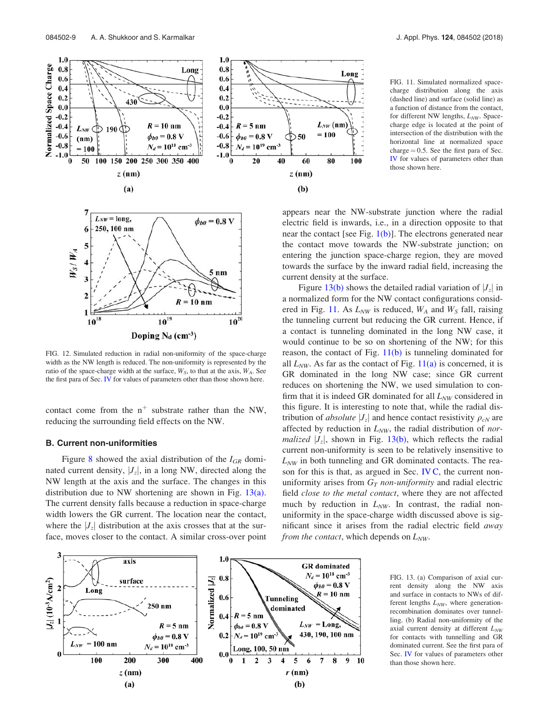



FIG. 12. Simulated reduction in radial non-uniformity of the space-charge width as the NW length is reduced. The non-uniformity is represented by the ratio of the space-charge width at the surface,  $W<sub>S</sub>$ , to that at the axis,  $W<sub>A</sub>$ . See the first para of Sec. IV for values of parameters other than those shown here.

contact come from the  $n^+$  substrate rather than the NW, reducing the surrounding field effects on the NW.

#### B. Current non-uniformities

Figure 8 showed the axial distribution of the  $I_{GR}$  dominated current density,  $|J_z|$ , in a long NW, directed along the NW length at the axis and the surface. The changes in this distribution due to NW shortening are shown in Fig. 13(a). The current density falls because a reduction in space-charge width lowers the GR current. The location near the contact, where the  $|J_z|$  distribution at the axis crosses that at the surface, moves closer to the contact. A similar cross-over point

FIG. 11. Simulated normalized spacecharge distribution along the axis (dashed line) and surface (solid line) as a function of distance from the contact, for different NW lengths,  $L_{NW}$ . Spacecharge edge is located at the point of intersection of the distribution with the horizontal line at normalized space charge  $= 0.5$ . See the first para of Sec. IV for values of parameters other than those shown here.

appears near the NW-substrate junction where the radial electric field is inwards, i.e., in a direction opposite to that near the contact [see Fig.  $1(b)$ ]. The electrons generated near the contact move towards the NW-substrate junction; on entering the junction space-charge region, they are moved towards the surface by the inward radial field, increasing the current density at the surface.

Figure 13(b) shows the detailed radial variation of  $|J_z|$  in a normalized form for the NW contact configurations considered in Fig. 11. As  $L_{NW}$  is reduced,  $W_A$  and  $W_S$  fall, raising the tunneling current but reducing the GR current. Hence, if a contact is tunneling dominated in the long NW case, it would continue to be so on shortening of the NW; for this reason, the contact of Fig.  $11(b)$  is tunneling dominated for all  $L_{NW}$ . As far as the contact of Fig.  $11(a)$  is concerned, it is GR dominated in the long NW case; since GR current reduces on shortening the NW, we used simulation to confirm that it is indeed GR dominated for all  $L_{NW}$  considered in this figure. It is interesting to note that, while the radial distribution of *absolute*  $|J_z|$  and hence contact resistivity  $\rho_{cN}$  are affected by reduction in  $L_{NW}$ , the radial distribution of *normalized*  $|J_z|$ , shown in Fig. 13(b), which reflects the radial current non-uniformity is seen to be relatively insensitive to  $L_{NW}$  in both tunneling and GR dominated contacts. The reason for this is that, as argued in Sec. IV C, the current nonuniformity arises from  $G_T$  non-uniformity and radial electric field close to the metal contact, where they are not affected much by reduction in  $L_{NW}$ . In contrast, the radial nonuniformity in the space-charge width discussed above is significant since it arises from the radial electric field away from the contact, which depends on  $L_{NW}$ .



FIG. 13. (a) Comparison of axial current density along the NW axis and surface in contacts to NWs of different lengths  $L_{NW}$ , where generationrecombination dominates over tunnelling. (b) Radial non-uniformity of the axial current density at different  $L_{NW}$ for contacts with tunnelling and GR dominated current. See the first para of Sec. IV for values of parameters other than those shown here.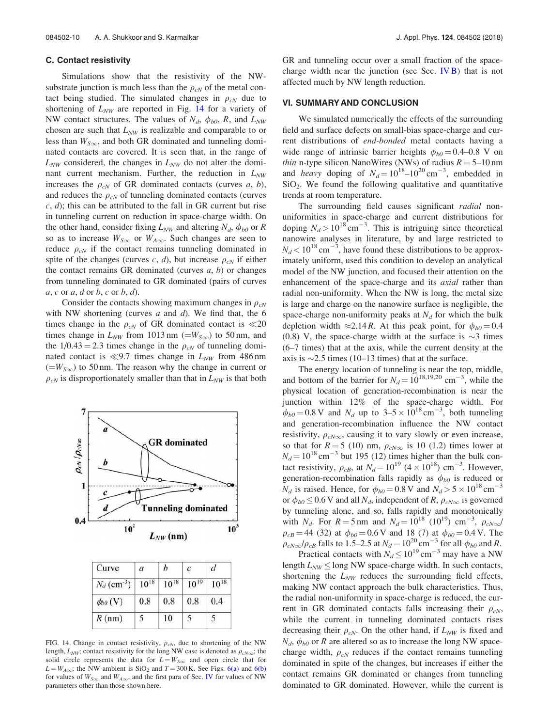#### C. Contact resistivity

Simulations show that the resistivity of the NWsubstrate junction is much less than the  $\rho_{cN}$  of the metal contact being studied. The simulated changes in  $\rho_{cN}$  due to shortening of  $L_{NW}$  are reported in Fig. 14 for a variety of NW contact structures. The values of  $N_d$ ,  $\phi_{b0}$ , R, and  $L_{NW}$ chosen are such that  $L_{NW}$  is realizable and comparable to or less than  $W_{S_{\infty}}$ , and both GR dominated and tunneling dominated contacts are covered. It is seen that, in the range of  $L_{NW}$  considered, the changes in  $L_{NW}$  do not alter the dominant current mechanism. Further, the reduction in  $L_{NW}$ increases the  $\rho_{cN}$  of GR dominated contacts (curves a, b), and reduces the  $\rho_{cN}$  of tunneling dominated contacts (curves  $c, d$ ; this can be attributed to the fall in GR current but rise in tunneling current on reduction in space-charge width. On the other hand, consider fixing  $L_{NW}$  and altering  $N_d$ ,  $\phi_{b0}$  or R so as to increase  $W_{S\infty}$  or  $W_{A\infty}$ . Such changes are seen to reduce  $\rho_{cN}$  if the contact remains tunneling dominated in spite of the changes (curves c, d), but increase  $\rho_{cN}$  if either the contact remains GR dominated (curves  $a, b$ ) or changes from tunneling dominated to GR dominated (pairs of curves  $a, c$  or  $a, d$  or  $b, c$  or  $b, d$ ).

Consider the contacts showing maximum changes in  $\rho_{cN}$ with NW shortening (curves  $a$  and  $d$ ). We find that, the 6 times change in the  $\rho_{cN}$  of GR dominated contact is  $\ll 20$ times change in  $L_{NW}$  from 1013 nm ( $=W_{S\infty}$ ) to 50 nm, and the  $1/0.43 = 2.3$  times change in the  $\rho_{cN}$  of tunneling dominated contact is  $\ll 9.7$  times change in  $L_{NW}$  from 486 nm  $(=W_{S\infty})$  to 50 nm. The reason why the change in current or  $\rho_{cN}$  is disproportionately smaller than that in  $L_{NW}$  is that both



| Curve                     | $\overline{a}$ |           | c         | a         |
|---------------------------|----------------|-----------|-----------|-----------|
| $N_d$ (cm <sup>-3</sup> ) | $10^{18}$      | $10^{18}$ | $10^{19}$ | $10^{18}$ |
| $\phi_{b0}$ (V)           | 0.8            | 0.8       | 0.8       | 0.4       |
| $R$ (nm)                  | 5              | 10        |           |           |

FIG. 14. Change in contact resistivity,  $\rho_{cN}$ , due to shortening of the NW length,  $L_{NW}$ ; contact resistivity for the long NW case is denoted as  $\rho_{cN\infty}$ ; the solid circle represents the data for  $L = W_{S_{\infty}}$  and open circle that for  $L = W_{A\infty}$ ; the NW ambient is SiO<sub>2</sub> and T = 300 K. See Figs. 6(a) and 6(b) for values of  $W_{S\infty}$  and  $W_{A\infty}$ , and the first para of Sec. IV for values of NW parameters other than those shown here.

GR and tunneling occur over a small fraction of the spacecharge width near the junction (see Sec.  $IVB$ ) that is not affected much by NW length reduction.

#### VI. SUMMARY AND CONCLUSION

We simulated numerically the effects of the surrounding field and surface defects on small-bias space-charge and current distributions of end-bonded metal contacts having a wide range of intrinsic barrier heights  $\phi_{b0} = 0.4 - 0.8$  V on *thin* n-type silicon NanoWires (NWs) of radius  $R = 5{\text -}10$  nm and *heavy* doping of  $N_d = 10^{18} - 10^{20} \text{ cm}^{-3}$ , embedded in SiO<sup>2</sup> . We found the following qualitative and quantitative trends at room temperature.

The surrounding field causes significant *radial* nonuniformities in space-charge and current distributions for doping  $N_d > 10^{18}$  cm<sup>-3</sup>. This is intriguing since theoretical nanowire analyses in literature, by and large restricted to  $N_d < 10^{18}$  cm<sup>-3</sup>, have found these distributions to be approximately uniform, used this condition to develop an analytical model of the NW junction, and focused their attention on the enhancement of the space-charge and its *axial* rather than radial non-uniformity. When the NW is long, the metal size is large and charge on the nanowire surface is negligible, the space-charge non-uniformity peaks at  $N_d$  for which the bulk depletion width  $\approx 2.14 R$ . At this peak point, for  $\phi_{b0} = 0.4$ (0.8) V, the space-charge width at the surface is  $\sim$ 3 times (6–7 times) that at the axis, while the current density at the axis is  $\sim$ 2.5 times (10–13 times) that at the surface.

The energy location of tunneling is near the top, middle, and bottom of the barrier for  $N_d = 10^{18,19,20}$  cm<sup>-3</sup>, while the physical location of generation-recombination is near the junction within 12% of the space-charge width. For  $\phi_{b0} = 0.8 \text{ V}$  and  $N_d$  up to  $3-5 \times 10^{18} \text{ cm}^{-3}$ , both tunneling and generation-recombination influence the NW contact resistivity,  $\rho_{cN\infty}$ , causing it to vary slowly or even increase, so that for  $R = 5$  (10) nm,  $\rho_{cN\infty}$  is 10 (1.2) times lower at  $N_d = 10^{18}$  cm<sup>-3</sup> but 195 (12) times higher than the bulk contact resistivity,  $\rho_{cB}$ , at  $N_d = 10^{19}$  (4  $\times$  10<sup>18</sup>) cm<sup>-3</sup>. However, generation-recombination falls rapidly as  $\phi_{b0}$  is reduced or  $N_d$  is raised. Hence, for  $\phi_{b0} = 0.8 \text{ V}$  and  $N_d > 5 \times 10^{18} \text{ cm}^{-3}$ or  $\phi_{b0} \le 0.6$  V and all  $N_d$ , independent of R,  $\rho_{cN\infty}$  is governed by tunneling alone, and so, falls rapidly and monotonically with  $N_d$ . For  $R = 5$  nm and  $N_d = 10^{18} (10^{19}) \text{ cm}^{-3}$ ,  $\rho_{cN\infty}$ /  $\rho_{cB}$  = 44 (32) at  $\phi_{b0}$  = 0.6 V and 18 (7) at  $\phi_{b0}$  = 0.4 V. The  $\rho_{cN\infty}/\rho_{cB}$  falls to 1.5–2.5 at  $N_d = 10^{20}$  cm<sup>-3</sup> for all  $\phi_{b0}$  and R.

Practical contacts with  $N_d \leq 10^{19}$  cm<sup>-3</sup> may have a NW length  $L_{NW} \leq$  long NW space-charge width. In such contacts, shortening the  $L_{NW}$  reduces the surrounding field effects, making NW contact approach the bulk characteristics. Thus, the radial non-uniformity in space-charge is reduced, the current in GR dominated contacts falls increasing their  $\rho_{cN}$ , while the current in tunneling dominated contacts rises decreasing their  $\rho_{cN}$ . On the other hand, if  $L_{NW}$  is fixed and  $N_d$ ,  $\phi_{b0}$  or R are altered so as to increase the long NW spacecharge width,  $\rho_{cN}$  reduces if the contact remains tunneling dominated in spite of the changes, but increases if either the contact remains GR dominated or changes from tunneling dominated to GR dominated. However, while the current is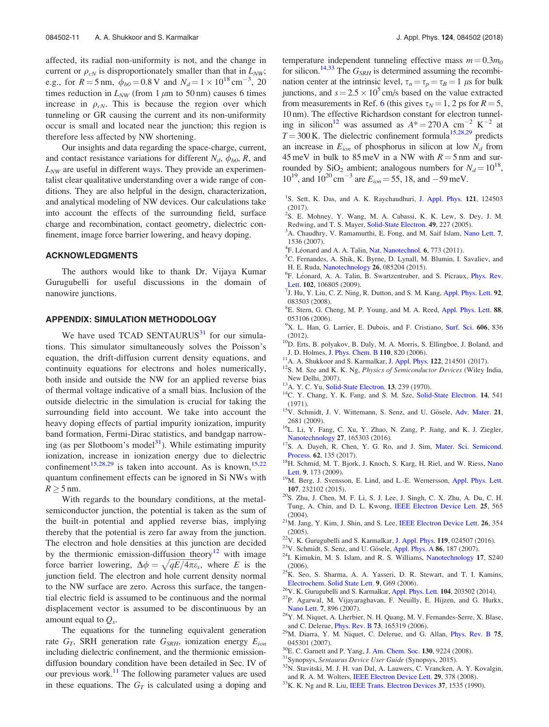affected, its radial non-uniformity is not, and the change in current or  $\rho_{cN}$  is disproportionately smaller than that in  $L_{NW}$ ; e.g., for  $R = 5$  nm,  $\phi_{b0} = 0.8$  V and  $N_d = 1 \times 10^{18}$  cm<sup>-3</sup>, 20 times reduction in  $L_{NW}$  (from 1  $\mu$ m to 50 nm) causes 6 times increase in  $\rho_{cN}$ . This is because the region over which tunneling or GR causing the current and its non-uniformity occur is small and located near the junction; this region is therefore less affected by NW shortening.

Our insights and data regarding the space-charge, current, and contact resistance variations for different  $N_d$ ,  $\phi_{b0}$ , R, and  $L_{NW}$  are useful in different ways. They provide an experimentalist clear qualitative understanding over a wide range of conditions. They are also helpful in the design, characterization, and analytical modeling of NW devices. Our calculations take into account the effects of the surrounding field, surface charge and recombination, contact geometry, dielectric confinement, image force barrier lowering, and heavy doping.

#### ACKNOWLEDGMENTS

The authors would like to thank Dr. Vijaya Kumar Gurugubelli for useful discussions in the domain of nanowire junctions.

#### APPENDIX: SIMULATION METHODOLOGY

We have used TCAD SENTAURUS $31$  for our simulations. This simulator simultaneously solves the Poisson's equation, the drift-diffusion current density equations, and continuity equations for electrons and holes numerically, both inside and outside the NW for an applied reverse bias of thermal voltage indicative of a small bias. Inclusion of the outside dielectric in the simulation is crucial for taking the surrounding field into account. We take into account the heavy doping effects of partial impurity ionization, impurity band formation, Fermi-Dirac statistics, and bandgap narrowing (as per Slotboom's model $31$ ). While estimating impurity ionization, increase in ionization energy due to dielectric confinement<sup>15,28,29</sup> is taken into account. As is known,<sup>15,22</sup> quantum confinement effects can be ignored in Si NWs with  $R \geq 5$  nm.

With regards to the boundary conditions, at the metalsemiconductor junction, the potential is taken as the sum of the built-in potential and applied reverse bias, implying thereby that the potential is zero far away from the junction. The electron and hole densities at this junction are decided by the thermionic emission-diffusion theory<sup>12</sup> with image force barrier lowering,  $\Delta \phi = \sqrt{qE/4\pi \varepsilon_s}$ , where E is the junction field. The electron and hole current density normal to the NW surface are zero. Across this surface, the tangential electric field is assumed to be continuous and the normal displacement vector is assumed to be discontinuous by an amount equal to  $Q_s$ .

The equations for the tunneling equivalent generation rate  $G_T$ , SRH generation rate  $G_{SRH}$ , ionization energy  $E_{ion}$ including dielectric confinement, and the thermionic emissiondiffusion boundary condition have been detailed in Sec. IV of our previous work.<sup>11</sup> The following parameter values are used in these equations. The  $G_T$  is calculated using a doping and temperature independent tunneling effective mass  $m = 0.3m_0$ for silicon.<sup>14,33</sup> The  $G_{SRH}$  is determined assuming the recombination center at the intrinsic level,  $\tau_n = \tau_p = \tau_B = 1$  µs for bulk junctions, and  $s = 2.5 \times 10^5$  cm/s based on the value extracted from measurements in Ref. 6 (this gives  $\tau_N = 1$ , 2 ps for  $R = 5$ , 10 nm). The effective Richardson constant for electron tunneling in silicon<sup>12</sup> was assumed as  $A^* = 270 \text{ A cm}^{-2} \text{ K}^{-2}$  at  $T = 300$  K. The dielectric confinement formula<sup>15,28,29</sup> predicts an increase in  $E_{ion}$  of phosphorus in silicon at low  $N_d$  from 45 meV in bulk to 85 meV in a NW with  $R = 5$  nm and surrounded by  $\text{SiO}_2$  ambient; analogous numbers for  $N_d = 10^{18}$ ,  $10^{19}$ , and  $10^{20}$  cm<sup>-3</sup> are  $E_{ion} = 55$ , 18, and -59 meV.

- <sup>1</sup>S. Sett, K. Das, and A. K. Raychaudhuri, J. Appl. Phys. 121, 124503 (2017).
- 2 S. E. Mohney, Y. Wang, M. A. Cabassi, K. K. Lew, S. Dey, J. M. Redwing, and T. S. Mayer, Solid-State Electron. 49, 227 (2005).
- <sup>3</sup>A. Chaudhry, V. Ramamurthi, E. Fong, and M. Saif Islam, Nano Lett. 7, 1536 (2007).
- <sup>4</sup>F. Léonard and A. A. Talin, Nat. Nanotechnol. 6, 773 (2011).
- <sup>5</sup>C. Fernandes, A. Shik, K. Byrne, D. Lynall, M. Blumin, I. Savaliev, and H. E. Ruda, Nanotechnology 26, 085204 (2015).
- <sup>6</sup>F. Léonard, A. A. Talin, B. Swartzentruber, and S. Picraux, *Phys. Rev.* Lett. 102, 106805 (2009).
- $7$ J. Hu, Y. Liu, C. Z. Ning, R. Dutton, and S. M. Kang, Appl. Phys. Lett. 92, 083503 (2008).
- <sup>8</sup>E. Stern, G. Cheng, M. P. Young, and M. A. Reed, Appl. Phys. Lett. 88, 053106 (2006).
- <sup>9</sup>X. L. Han, G. Larrier, E. Dubois, and F. Cristiano, Surf. Sci. 606, 836 (2012).
- <sup>10</sup>D. Erts, B. polyakov, B. Daly, M. A. Morris, S. Ellingboe, J. Boland, and J. D. Holmes, J. Phys. Chem. B 110, 820 (2006).
- $11A$ . A. Shukkoor and S. Karmalkar, J. Appl. Phys. 122, 214501 (2017).
- $12$ S. M. Sze and K. K. Ng, Physics of Semiconductor Devices (Wiley India, New Delhi, 2007).
- <sup>13</sup>A. Y. C. Yu, Solid-State Electron. **13**, 239 (1970).
- <sup>14</sup>C. Y. Chang, Y. K. Fang, and S. M. Sze, Solid-State Electron. 14, 541 (1971).
- <sup>15</sup>V. Schmidt, J. V. Wittemann, S. Senz, and U. Gösele, Adv. Mater. 21, 2681 (2009).
- <sup>16</sup>L. Li, Y. Fang, C. Xu, Y. Zhao, N. Zang, P. Jiang, and K. J. Ziegler, Nanotechnology 27, 165303 (2016).
- <sup>17</sup>S. A. Dayeh, R. Chen, Y. G. Ro, and J. Sim, Mater. Sci. Semicond. Process. 62, 135 (2017).
- <sup>18</sup>H. Schmid, M. T. Bjork, J. Knoch, S. Karg, H. Riel, and W. Riess, Nano Lett. 9, 173 (2009).
- <sup>19</sup>M. Berg, J. Svensson, E. Lind, and L.-E. Wernersson, Appl. Phys. Lett. 107, 232102 (2015).
- $20$ S. Zhu, J. Chen, M. F. Li, S. J. Lee, J. Singh, C. X. Zhu, A. Du, C. H. Tung, A. Chin, and D. L. Kwong, IEEE Electron Device Lett. 25, 565  $(2004)$ .
- $21$ M. Jang, Y. Kim, J. Shin, and S. Lee, IEEE Electron Device Lett. 26, 354 (2005).
- $22V$ . K. Gurugubelli and S. Karmalkar, J. Appl. Phys. 119, 024507 (2016).
- <sup>23</sup>V. Schmidt, S. Senz, and U. Gösele, Appl. Phys. A  $86$ , 187 (2007).
- <sup>24</sup>I. Kimukin, M. S. Islam, and R. S. Williams, Nanotechnology 17, S240 (2006).
- $25K$ . Seo, S. Sharma, A. A. Yasseri, D. R. Stewart, and T. I. Kamins, Electrochem. Solid State Lett. 9, G69 (2006).
- $26$ V. K. Gurugubelli and S. Karmalkar, Appl. Phys. Lett. 104, 203502 (2014).
- <sup>27</sup>P. Agarwal, M. Vijayaraghavan, F. Neuilly, E. Hijzen, and G. Hurkx, Nano Lett. 7, 896 (2007).
- <sup>28</sup>Y. M. Niquet, A. Lherbier, N. H. Quang, M. V. Fernandes-Serre, X. Blase, and C. Delerue, Phys. Rev. B 73, 165319 (2006).
- <sup>29</sup>M. Diarra, Y. M. Niquet, C. Delerue, and G. Allan, Phys. Rev. B 75, 045301 (2007).
- <sup>30</sup>E. C. Garnett and P. Yang, J. Am. Chem. Soc. 130, 9224 (2008).
- <sup>31</sup>Synopsys, Sentaurus Device User Guide (Synopsys, 2015).
- <sup>32</sup>N. Stavitski, M. J. H. van Dal, A. Lauwers, C. Vrancken, A. Y. Kovalgin, and R. A. M. Wolters, IEEE Electron Device Lett. 29, 378 (2008).
- <sup>33</sup>K. K. Ng and R. Liu, IEEE Trans. Electron Devices 37, 1535 (1990).